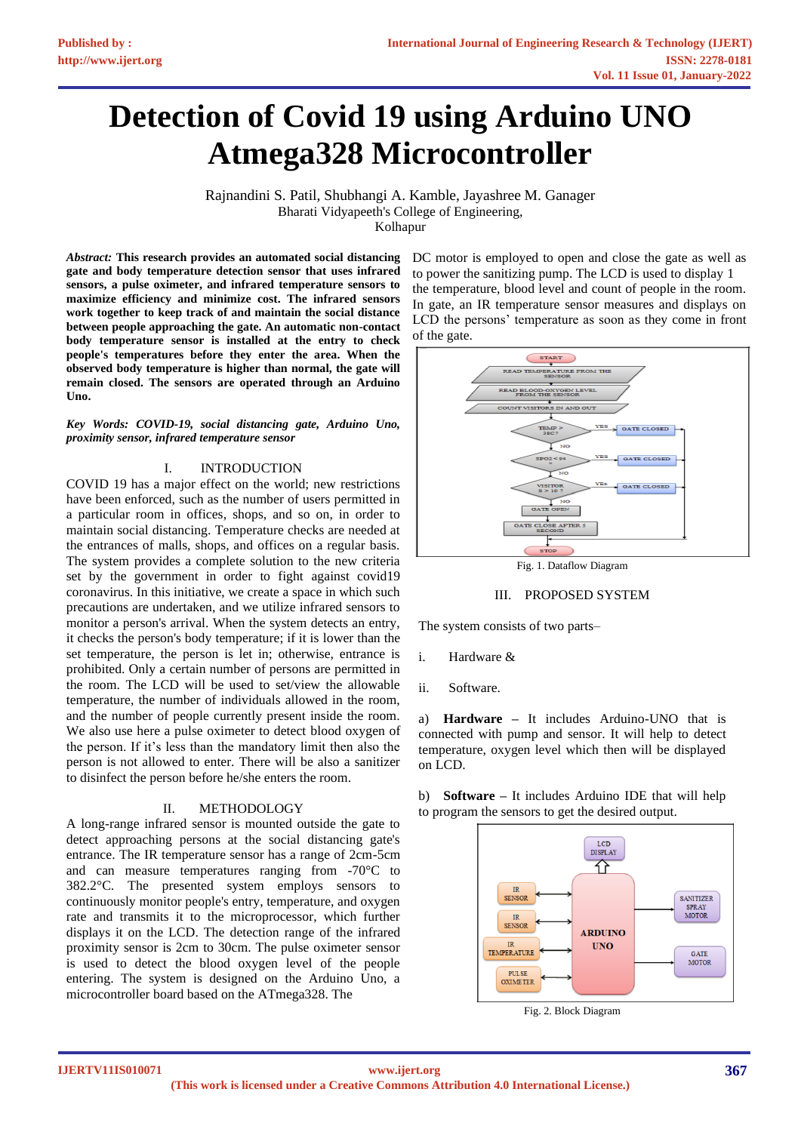# **Detection of Covid 19 using Arduino UNO Atmega328 Microcontroller**

Rajnandini S. Patil, Shubhangi A. Kamble, Jayashree M. Ganager Bharati Vidyapeeth's College of Engineering,

Kolhapur

*Abstract:* **This research provides an automated social distancing gate and body temperature detection sensor that uses infrared sensors, a pulse oximeter, and infrared temperature sensors to maximize efficiency and minimize cost. The infrared sensors work together to keep track of and maintain the social distance between people approaching the gate. An automatic non-contact body temperature sensor is installed at the entry to check people's temperatures before they enter the area. When the observed body temperature is higher than normal, the gate will remain closed. The sensors are operated through an Arduino Uno.** 

*Key Words: COVID-19, social distancing gate, Arduino Uno, proximity sensor, infrared temperature sensor* 

## I. INTRODUCTION

COVID 19 has a major effect on the world; new restrictions have been enforced, such as the number of users permitted in a particular room in offices, shops, and so on, in order to maintain social distancing. Temperature checks are needed at the entrances of malls, shops, and offices on a regular basis. The system provides a complete solution to the new criteria set by the government in order to fight against covid19 coronavirus. In this initiative, we create a space in which such precautions are undertaken, and we utilize infrared sensors to monitor a person's arrival. When the system detects an entry, it checks the person's body temperature; if it is lower than the set temperature, the person is let in; otherwise, entrance is prohibited. Only a certain number of persons are permitted in the room. The LCD will be used to set/view the allowable temperature, the number of individuals allowed in the room, and the number of people currently present inside the room. We also use here a pulse oximeter to detect blood oxygen of the person. If it's less than the mandatory limit then also the person is not allowed to enter. There will be also a sanitizer to disinfect the person before he/she enters the room.

#### II. METHODOLOGY

A long-range infrared sensor is mounted outside the gate to detect approaching persons at the social distancing gate's entrance. The IR temperature sensor has a range of 2cm-5cm and can measure temperatures ranging from -70°C to 382.2°C. The presented system employs sensors to continuously monitor people's entry, temperature, and oxygen rate and transmits it to the microprocessor, which further displays it on the LCD. The detection range of the infrared proximity sensor is 2cm to 30cm. The pulse oximeter sensor is used to detect the blood oxygen level of the people entering. The system is designed on the Arduino Uno, a microcontroller board based on the ATmega328. The

DC motor is employed to open and close the gate as well as to power the sanitizing pump. The LCD is used to display 1 the temperature, blood level and count of people in the room. In gate, an IR temperature sensor measures and displays on LCD the persons' temperature as soon as they come in front of the gate.



#### III. PROPOSED SYSTEM

The system consists of two parts–

- i. Hardware &
- ii. Software.

a) **Hardware –** It includes Arduino-UNO that is connected with pump and sensor. It will help to detect temperature, oxygen level which then will be displayed on LCD.

b) **Software –** It includes Arduino IDE that will help to program the sensors to get the desired output.



Fig. 2. Block Diagram